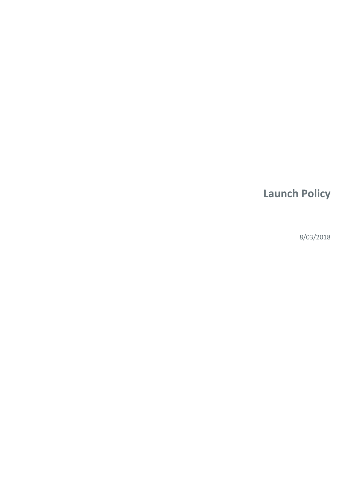# **Launch Policy**

8/03/2018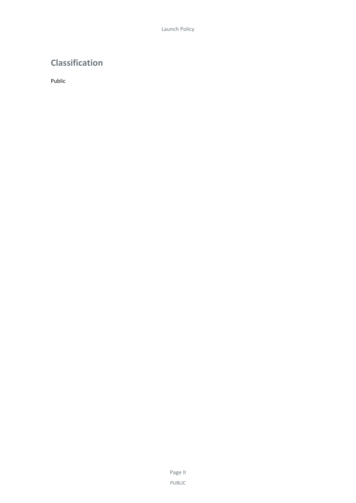# **Classification**

Public

Page II PUBLIC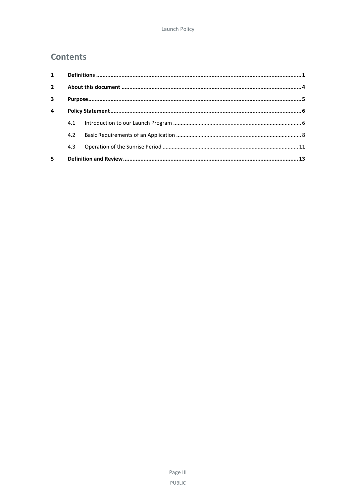# **Contents**

| $\mathbf{1}$   |     |  |  |  |  |
|----------------|-----|--|--|--|--|
| $\overline{2}$ |     |  |  |  |  |
| 3              |     |  |  |  |  |
| $\overline{a}$ |     |  |  |  |  |
|                | 4.1 |  |  |  |  |
|                | 4.2 |  |  |  |  |
|                | 4.3 |  |  |  |  |
| 5              |     |  |  |  |  |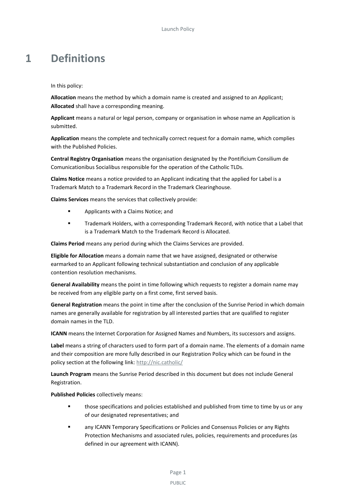# <span id="page-4-0"></span>**1 Definitions**

In this policy:

**Allocation** means the method by which a domain name is created and assigned to an Applicant; **Allocated** shall have a corresponding meaning.

**Applicant** means a natural or legal person, company or organisation in whose name an Application is submitted.

**Application** means the complete and technically correct request for a domain name, which complies with the Published Policies.

**Central Registry Organisation** means the organisation designated by the Pontificium Consilium de Comunicationibus Socialibus responsible for the operation of the Catholic TLDs.

**Claims Notice** means a notice provided to an Applicant indicating that the applied for Label is a Trademark Match to a Trademark Record in the Trademark Clearinghouse.

**Claims Services** means the services that collectively provide:

- **Applicants with a Claims Notice; and**
- Trademark Holders, with a corresponding Trademark Record, with notice that a Label that is a Trademark Match to the Trademark Record is Allocated.

**Claims Period** means any period during which the Claims Services are provided.

**Eligible for Allocation** means a domain name that we have assigned, designated or otherwise earmarked to an Applicant following technical substantiation and conclusion of any applicable contention resolution mechanisms.

**General Availability** means the point in time following which requests to register a domain name may be received from any eligible party on a first come, first served basis.

**General Registration** means the point in time after the conclusion of the Sunrise Period in which domain names are generally available for registration by all interested parties that are qualified to register domain names in the TLD.

**ICANN** means the Internet Corporation for Assigned Names and Numbers, its successors and assigns.

**Label** means a string of characters used to form part of a domain name. The elements of a domain name and their composition are more fully described in our Registration Policy which can be found in the policy section at the following link: [http://nic.catholic/](http://nic.dubai/)

**Launch Program** means the Sunrise Period described in this document but does not include General Registration.

**Published Policies** collectively means:

- **those specifications and policies established and published from time to time by us or any** of our designated representatives; and
- **EXECT ANO ICANN TEMPORARY Specifications or Policies and Consensus Policies or any Rights** Protection Mechanisms and associated rules, policies, requirements and procedures (as defined in our agreement with ICANN).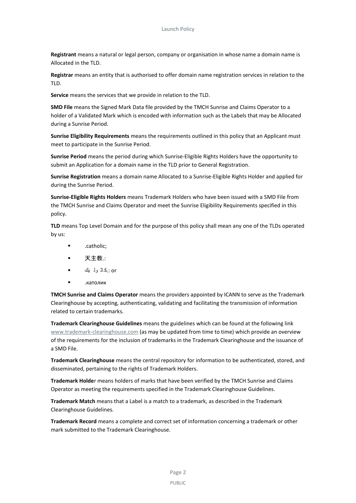**Registrant** means a natural or legal person, company or organisation in whose name a domain name is Allocated in the TLD.

**Registrar** means an entity that is authorised to offer domain name registration services in relation to the TLD.

**Service** means the services that we provide in relation to the TLD.

**SMD File** means the Signed Mark Data file provided by the TMCH Sunrise and Claims Operator to a holder of a Validated Mark which is encoded with information such as the Labels that may be Allocated during a Sunrise Period.

**Sunrise Eligibility Requirements** means the requirements outlined in this policy that an Applicant must meet to participate in the Sunrise Period.

**Sunrise Period** means the period during which Sunrise-Eligible Rights Holders have the opportunity to submit an Application for a domain name in the TLD prior to General Registration.

**Sunrise Registration** means a domain name Allocated to a Sunrise-Eligible Rights Holder and applied for during the Sunrise Period.

**Sunrise-Eligible Rights Holders** means Trademark Holders who have been issued with a SMD File from the TMCH Sunrise and Claims Operator and meet the Sunrise Eligibility Requirements specified in this policy.

**TLD** means Top Level Domain and for the purpose of this policy shall mean any one of the TLDs operated by us:

- .catholic;
- 天主教.:
- or .:كاث ول يك
- $\blacksquare$

**TMCH Sunrise and Claims Operator** means the providers appointed by ICANN to serve as the Trademark Clearinghouse by accepting, authenticating, validating and facilitating the transmission of information related to certain trademarks.

**Trademark Clearinghouse Guidelines** means the guidelines which can be found at the following link [www.trademark-clearinghouse.com](http://www.trademark-clearinghouse.com/) (as may be updated from time to time) which provide an overview of the requirements for the inclusion of trademarks in the Trademark Clearinghouse and the issuance of a SMD File.

**Trademark Clearinghouse** means the central repository for information to be authenticated, stored, and disseminated, pertaining to the rights of Trademark Holders.

**Trademark Holde**r means holders of marks that have been verified by the TMCH Sunrise and Claims Operator as meeting the requirements specified in the Trademark Clearinghouse Guidelines.

**Trademark Match** means that a Label is a match to a trademark, as described in the Trademark Clearinghouse Guidelines.

**Trademark Record** means a complete and correct set of information concerning a trademark or other mark submitted to the Trademark Clearinghouse.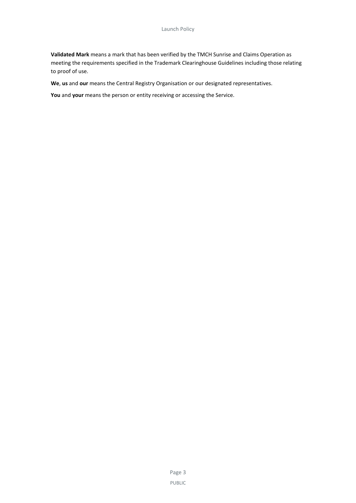**Validated Mark** means a mark that has been verified by the TMCH Sunrise and Claims Operation as meeting the requirements specified in the Trademark Clearinghouse Guidelines including those relating to proof of use.

**We**, **us** and **our** means the Central Registry Organisation or our designated representatives.

**You** and **your** means the person or entity receiving or accessing the Service.

Page 3 PUBLIC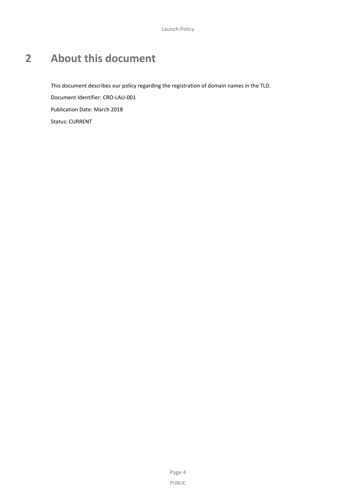# <span id="page-7-0"></span>**2 About this document**

This document describes our policy regarding the registration of domain names in the TLD. Document Identifier: CRO-LAU-001 Publication Date: March 2018 Status: CURRENT

> Page 4 PUBLIC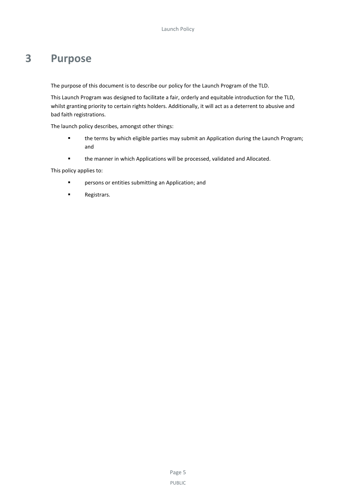# <span id="page-8-0"></span>**3 Purpose**

The purpose of this document is to describe our policy for the Launch Program of the TLD.

This Launch Program was designed to facilitate a fair, orderly and equitable introduction for the TLD, whilst granting priority to certain rights holders. Additionally, it will act as a deterrent to abusive and bad faith registrations.

The launch policy describes, amongst other things:

- the terms by which eligible parties may submit an Application during the Launch Program; and
- the manner in which Applications will be processed, validated and Allocated.

This policy applies to:

- **F** persons or entities submitting an Application; and
- **Registrars.**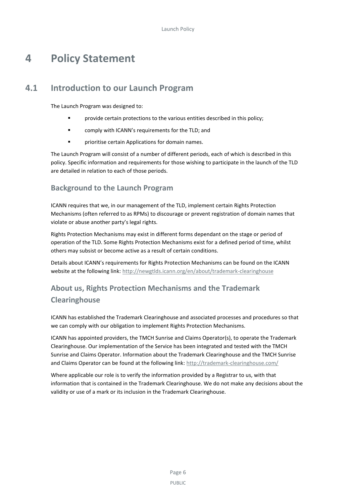# <span id="page-9-0"></span>**4 Policy Statement**

# **4.1 Introduction to our Launch Program**

<span id="page-9-1"></span>The Launch Program was designed to:

- **F** provide certain protections to the various entities described in this policy;
- **Example 1** comply with ICANN's requirements for the TLD; and
- **Phinry interest in Applications for domain names.**

The Launch Program will consist of a number of different periods, each of which is described in this policy. Specific information and requirements for those wishing to participate in the launch of the TLD are detailed in relation to each of those periods.

### **Background to the Launch Program**

ICANN requires that we, in our management of the TLD, implement certain Rights Protection Mechanisms (often referred to as RPMs) to discourage or prevent registration of domain names that violate or abuse another party's legal rights.

Rights Protection Mechanisms may exist in different forms dependant on the stage or period of operation of the TLD. Some Rights Protection Mechanisms exist for a defined period of time, whilst others may subsist or become active as a result of certain conditions.

Details about ICANN's requirements for Rights Protection Mechanisms can be found on the ICANN website at the following link[: http://newgtlds.icann.org/en/about/trademark-clearinghouse](http://newgtlds.icann.org/en/about/trademark-clearinghouse)

# **About us, Rights Protection Mechanisms and the Trademark Clearinghouse**

ICANN has established the Trademark Clearinghouse and associated processes and procedures so that we can comply with our obligation to implement Rights Protection Mechanisms.

ICANN has appointed providers, the TMCH Sunrise and Claims Operator(s), to operate the Trademark Clearinghouse. Our implementation of the Service has been integrated and tested with the TMCH Sunrise and Claims Operator. Information about the Trademark Clearinghouse and the TMCH Sunrise and Claims Operator can be found at the following link:<http://trademark-clearinghouse.com/>

Where applicable our role is to verify the information provided by a Registrar to us, with that information that is contained in the Trademark Clearinghouse. We do not make any decisions about the validity or use of a mark or its inclusion in the Trademark Clearinghouse.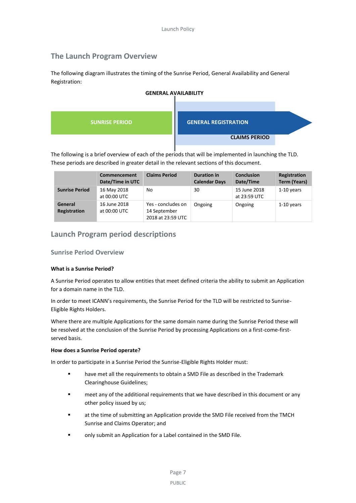## **The Launch Program Overview**

The following diagram illustrates the timing of the Sunrise Period, General Availability and General Registration:



The following is a brief overview of each of the periods that will be implemented in launching the TLD. These periods are described in greater detail in the relevant sections of this document.

|                         | Commencement<br>Date/Time in UTC | <b>Claims Period</b>                                    | <b>Duration in</b><br><b>Calendar Days</b> | <b>Conclusion</b><br>Date/Time | Registration<br><b>Term (Years)</b> |
|-------------------------|----------------------------------|---------------------------------------------------------|--------------------------------------------|--------------------------------|-------------------------------------|
| <b>Sunrise Period</b>   | 16 May 2018<br>at 00:00 UTC      | No                                                      | 30                                         | 15 June 2018<br>at 23:59 UTC   | 1-10 years                          |
| General<br>Registration | 16 June 2018<br>at 00:00 UTC     | Yes - concludes on<br>14 September<br>2018 at 23:59 UTC | Ongoing                                    | Ongoing                        | $1-10$ years                        |

### **Launch Program period descriptions**

### **Sunrise Period Overview**

#### **What is a Sunrise Period?**

A Sunrise Period operates to allow entities that meet defined criteria the ability to submit an Application for a domain name in the TLD.

In order to meet ICANN's requirements, the Sunrise Period for the TLD will be restricted to Sunrise-Eligible Rights Holders.

Where there are multiple Applications for the same domain name during the Sunrise Period these will be resolved at the conclusion of the Sunrise Period by processing Applications on a first-come-firstserved basis.

#### **How does a Sunrise Period operate?**

In order to participate in a Sunrise Period the Sunrise-Eligible Rights Holder must:

- have met all the requirements to obtain a SMD File as described in the Trademark Clearinghouse Guidelines;
- meet any of the additional requirements that we have described in this document or any other policy issued by us;
- at the time of submitting an Application provide the SMD File received from the TMCH Sunrise and Claims Operator; and
- only submit an Application for a Label contained in the SMD File.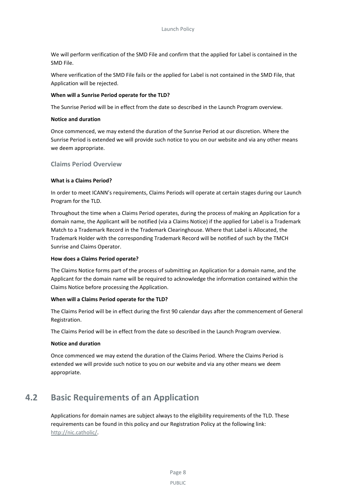We will perform verification of the SMD File and confirm that the applied for Label is contained in the SMD File.

Where verification of the SMD File fails or the applied for Label is not contained in the SMD File, that Application will be rejected.

#### **When will a Sunrise Period operate for the TLD?**

The Sunrise Period will be in effect from the date so described in the Launch Program overview.

#### **Notice and duration**

Once commenced, we may extend the duration of the Sunrise Period at our discretion. Where the Sunrise Period is extended we will provide such notice to you on our website and via any other means we deem appropriate.

#### **Claims Period Overview**

#### **What is a Claims Period?**

In order to meet ICANN's requirements, Claims Periods will operate at certain stages during our Launch Program for the TLD.

Throughout the time when a Claims Period operates, during the process of making an Application for a domain name, the Applicant will be notified (via a Claims Notice) if the applied for Label is a Trademark Match to a Trademark Record in the Trademark Clearinghouse. Where that Label is Allocated, the Trademark Holder with the corresponding Trademark Record will be notified of such by the TMCH Sunrise and Claims Operator.

#### **How does a Claims Period operate?**

The Claims Notice forms part of the process of submitting an Application for a domain name, and the Applicant for the domain name will be required to acknowledge the information contained within the Claims Notice before processing the Application.

#### **When will a Claims Period operate for the TLD?**

The Claims Period will be in effect during the first 90 calendar days after the commencement of General Registration.

The Claims Period will be in effect from the date so described in the Launch Program overview.

#### **Notice and duration**

Once commenced we may extend the duration of the Claims Period. Where the Claims Period is extended we will provide such notice to you on our website and via any other means we deem appropriate.

## <span id="page-11-0"></span>**4.2 Basic Requirements of an Application**

Applications for domain names are subject always to the eligibility requirements of the TLD. These requirements can be found in this policy and our Registration Policy at the following link: [http://nic.catholic/.](http://nic.catholic/)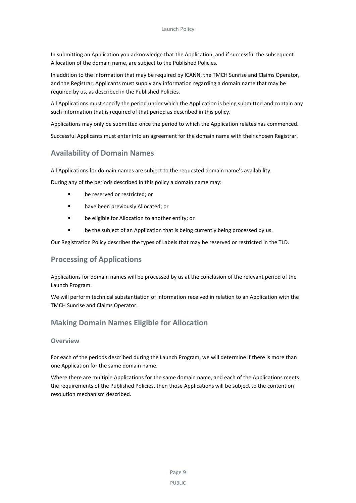In submitting an Application you acknowledge that the Application, and if successful the subsequent Allocation of the domain name, are subject to the Published Policies.

In addition to the information that may be required by ICANN, the TMCH Sunrise and Claims Operator, and the Registrar, Applicants must supply any information regarding a domain name that may be required by us, as described in the Published Policies.

All Applications must specify the period under which the Application is being submitted and contain any such information that is required of that period as described in this policy.

Applications may only be submitted once the period to which the Application relates has commenced.

Successful Applicants must enter into an agreement for the domain name with their chosen Registrar.

## **Availability of Domain Names**

All Applications for domain names are subject to the requested domain name's availability.

During any of the periods described in this policy a domain name may:

- **be reserved or restricted: or**
- **have been previously Allocated; or**
- be eligible for Allocation to another entity; or
- be the subject of an Application that is being currently being processed by us.

Our Registration Policy describes the types of Labels that may be reserved or restricted in the TLD.

### **Processing of Applications**

Applications for domain names will be processed by us at the conclusion of the relevant period of the Launch Program.

We will perform technical substantiation of information received in relation to an Application with the TMCH Sunrise and Claims Operator.

## **Making Domain Names Eligible for Allocation**

#### **Overview**

For each of the periods described during the Launch Program, we will determine if there is more than one Application for the same domain name.

Where there are multiple Applications for the same domain name, and each of the Applications meets the requirements of the Published Policies, then those Applications will be subject to the contention resolution mechanism described.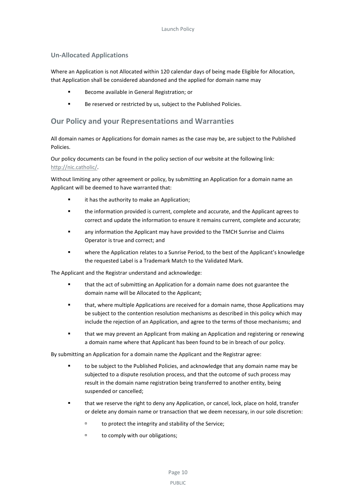#### **Un-Allocated Applications**

Where an Application is not Allocated within 120 calendar days of being made Eligible for Allocation, that Application shall be considered abandoned and the applied for domain name may

- **Become available in General Registration; or**
- Be reserved or restricted by us, subject to the Published Policies.

### **Our Policy and your Representations and Warranties**

All domain names or Applications for domain names as the case may be, are subject to the Published Policies.

Our policy documents can be found in the policy section of our website at the following link: [http://nic.catholic/.](http://nic.catholic/)

Without limiting any other agreement or policy, by submitting an Application for a domain name an Applicant will be deemed to have warranted that:

- **Example 1** it has the authority to make an Application;
- the information provided is current, complete and accurate, and the Applicant agrees to correct and update the information to ensure it remains current, complete and accurate;
- any information the Applicant may have provided to the TMCH Sunrise and Claims Operator is true and correct; and
- where the Application relates to a Sunrise Period, to the best of the Applicant's knowledge the requested Label is a Trademark Match to the Validated Mark.

The Applicant and the Registrar understand and acknowledge:

- that the act of submitting an Application for a domain name does not guarantee the domain name will be Allocated to the Applicant;
- that, where multiple Applications are received for a domain name, those Applications may be subject to the contention resolution mechanisms as described in this policy which may include the rejection of an Application, and agree to the terms of those mechanisms; and
- that we may prevent an Applicant from making an Application and registering or renewing a domain name where that Applicant has been found to be in breach of our policy.

By submitting an Application for a domain name the Applicant and the Registrar agree:

- to be subject to the Published Policies, and acknowledge that any domain name may be subjected to a dispute resolution process, and that the outcome of such process may result in the domain name registration being transferred to another entity, being suspended or cancelled;
- that we reserve the right to deny any Application, or cancel, lock, place on hold, transfer or delete any domain name or transaction that we deem necessary, in our sole discretion:
	- to protect the integrity and stability of the Service;
	- <sup>D</sup> to comply with our obligations;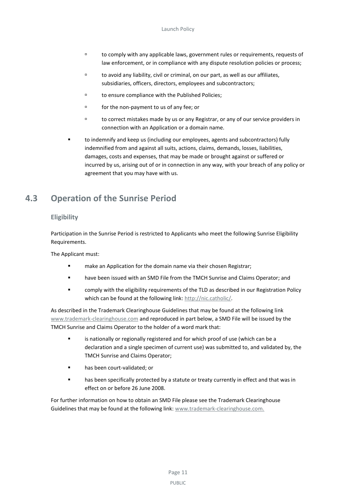- to comply with any applicable laws, government rules or requirements, requests of law enforcement, or in compliance with any dispute resolution policies or process;
- to avoid any liability, civil or criminal, on our part, as well as our affiliates, subsidiaries, officers, directors, employees and subcontractors;
- to ensure compliance with the Published Policies;
- for the non-payment to us of any fee; or
- to correct mistakes made by us or any Registrar, or any of our service providers in connection with an Application or a domain name.
- to indemnify and keep us (including our employees, agents and subcontractors) fully indemnified from and against all suits, actions, claims, demands, losses, liabilities, damages, costs and expenses, that may be made or brought against or suffered or incurred by us, arising out of or in connection in any way, with your breach of any policy or agreement that you may have with us.

# <span id="page-14-0"></span>**4.3 Operation of the Sunrise Period**

### **Eligibility**

Participation in the Sunrise Period is restricted to Applicants who meet the following Sunrise Eligibility Requirements.

The Applicant must:

- **F** make an Application for the domain name via their chosen Registrar;
- **•** have been issued with an SMD File from the TMCH Sunrise and Claims Operator; and
- comply with the eligibility requirements of the TLD as described in our Registration Policy which can be found at the following link: [http://nic.catholic/.](http://nic.catholic/)

As described in the Trademark Clearinghouse Guidelines that may be found at the following link [www.trademark-clearinghouse.com](http://www.trademark-clearinghouse.com/) and reproduced in part below, a SMD File will be issued by the TMCH Sunrise and Claims Operator to the holder of a word mark that:

- is nationally or regionally registered and for which proof of use (which can be a declaration and a single specimen of current use) was submitted to, and validated by, the TMCH Sunrise and Claims Operator;
- **nas been court-validated; or**
- **EXECT** has been specifically protected by a statute or treaty currently in effect and that was in effect on or before 26 June 2008.

For further information on how to obtain an SMD File please see the Trademark Clearinghouse Guidelines that may be found at the following link: [www.trademark-clearinghouse.com.](http://www.trademark-clearinghouse.com/)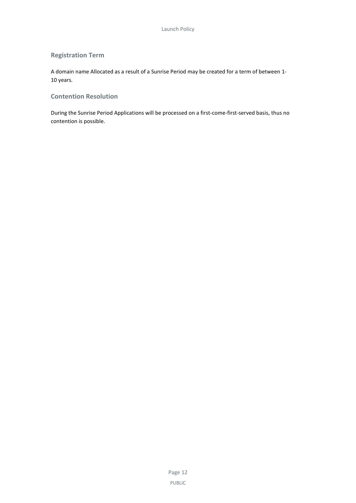### **Registration Term**

A domain name Allocated as a result of a Sunrise Period may be created for a term of between 1- 10 years.

### **Contention Resolution**

During the Sunrise Period Applications will be processed on a first-come-first-served basis, thus no contention is possible.